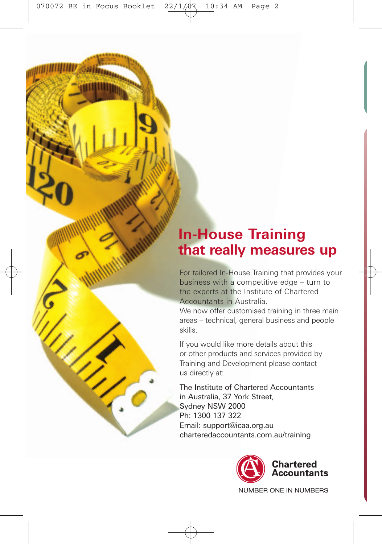# **In-House Training that really measures up**

For tailored In-House Training that provides your business with a competitive edge – turn to the experts at the Institute of Chartered Accountants in Australia.

We now offer customised training in three main areas – technical, general business and people skills.

If you would like more details about this or other products and services provided by Training and Development please contact us directly at:

The Institute of Chartered Accountants in Australia, 37 York Street, Sydney NSW 2000 Ph: 1300 137 322 Email: support@icaa.org.au charteredaccountants.com.au/training



NUMBER ONE IN NUMBERS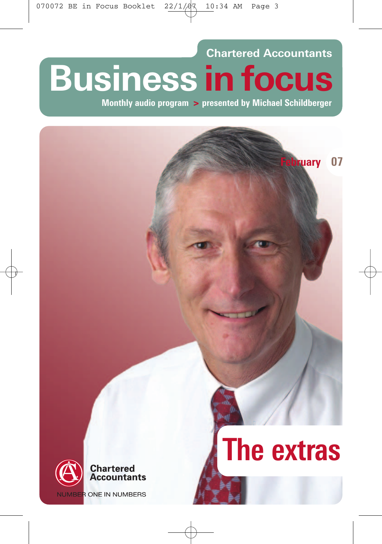# **Chartered Accountants Business in focus**

**Monthly audio program > presented by Michael Schildberger**



**NUMBER ONE IN NUMBERS** 

# **The extras**

**bruary** 07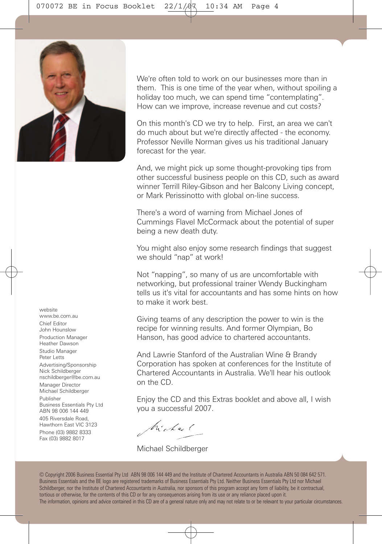

We're often told to work on our businesses more than in them. This is one time of the year when, without spoiling a holiday too much, we can spend time "contemplating". How can we improve, increase revenue and cut costs?

On this month's CD we try to help. First, an area we can't do much about but we're directly affected - the economy. Professor Neville Norman gives us his traditional January forecast for the year.

And, we might pick up some thought-provoking tips from other successful business people on this CD, such as award winner Terrill Riley-Gibson and her Balcony Living concept, or Mark Perissinotto with global on-line success.

There's a word of warning from Michael Jones of Cummings Flavel McCormack about the potential of super being a new death duty.

You might also enjoy some research findings that suggest we should "nap" at work!

Not "napping", so many of us are uncomfortable with networking, but professional trainer Wendy Buckingham tells us it's vital for accountants and has some hints on how to make it work best.

Giving teams of any description the power to win is the recipe for winning results. And former Olympian, Bo Hanson, has good advice to chartered accountants.

And Lawrie Stanford of the Australian Wine & Brandy Corporation has spoken at conferences for the Institute of Chartered Accountants in Australia. We'll hear his outlook on the CD.

Enjoy the CD and this Extras booklet and above all, I wish you a successful 2007.

Michael

Michael Schildberger

© Copyright 2006 Business Essential Pty Ltd ABN 98 006 144 449 and the Institute of Chartered Accountants in Australia ABN 50 084 642 571. Business Essentials and the BE logo are registered trademarks of Business Essentials Pty Ltd. Neither Business Essentials Pty Ltd nor Michael Schildberger, nor the Institute of Chartered Accountants in Australia, nor sponsors of this program accept any form of liability, be it contractual, tortious or otherwise, for the contents of this CD or for any consequences arising from its use or any reliance placed upon it. The information, opinions and advice contained in this CD are of a general nature only and may not relate to or be relevant to your particular circumstances.

website www.be.com.au Chief Editor John Hounslow Production Manager Heather Dawson Studio Manager Peter Letts Advertising/Sponsorship

Nick Schildberger nschildberger@be.com.au

Manager Director Michael Schildberger

Publisher Business Essentials Pty Ltd ABN 98 006 144 449

405 Riversdale Road, Hawthorn East VIC 3123 Phone (03) 9882 8333 Fax (03) 9882 8017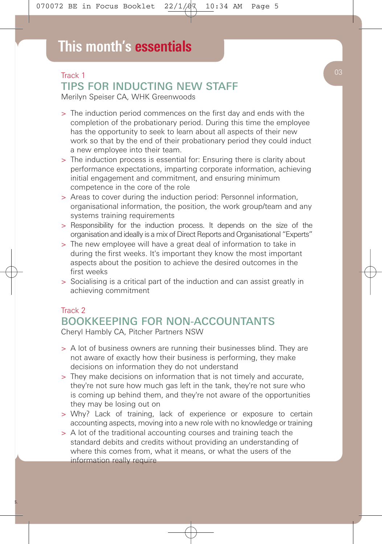# Track 1 TIPS FOR INDUCTING NEW STAFF

Merilyn Speiser CA, WHK Greenwoods

- > The induction period commences on the first day and ends with the completion of the probationary period. During this time the employee has the opportunity to seek to learn about all aspects of their new work so that by the end of their probationary period they could induct a new employee into their team.
- > The induction process is essential for: Ensuring there is clarity about performance expectations, imparting corporate information, achieving initial engagement and commitment, and ensuring minimum competence in the core of the role
- > Areas to cover during the induction period: Personnel information, organisational information, the position, the work group/team and any systems training requirements
- > Responsibility for the induction process. It depends on the size of the organisation and ideally is a mix of Direct Reports and Organisational "Experts"
- > The new employee will have a great deal of information to take in during the first weeks. It's important they know the most important aspects about the position to achieve the desired outcomes in the first weeks
- > Socialising is a critical part of the induction and can assist greatly in achieving commitment

#### Track 2

#### BOOKKEEPING FOR NON-ACCOUNTANTS Cheryl Hambly CA, Pitcher Partners NSW

- > A lot of business owners are running their businesses blind. They are not aware of exactly how their business is performing, they make decisions on information they do not understand
- > They make decisions on information that is not timely and accurate, they're not sure how much gas left in the tank, they're not sure who is coming up behind them, and they're not aware of the opportunities they may be losing out on
- > Why? Lack of training, lack of experience or exposure to certain accounting aspects, moving into a new role with no knowledge or training
- > A lot of the traditional accounting courses and training teach the standard debits and credits without providing an understanding of where this comes from, what it means, or what the users of the information really require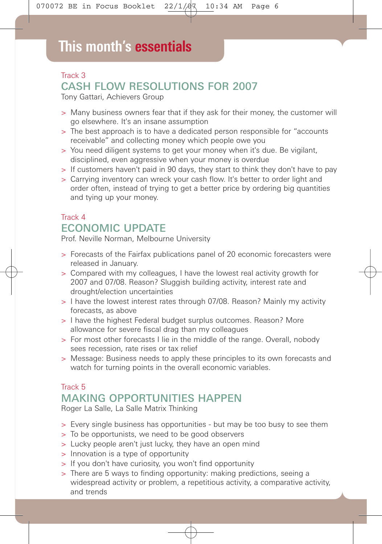# Track 3 CASH FLOW RESOLUTIONS FOR 2007

Tony Gattari, Achievers Group

- > Many business owners fear that if they ask for their money, the customer will go elsewhere. It's an insane assumption
- > The best approach is to have a dedicated person responsible for "accounts receivable" and collecting money which people owe you
- > You need diligent systems to get your money when it's due. Be vigilant, disciplined, even aggressive when your money is overdue
- > If customers haven't paid in 90 days, they start to think they don't have to pay
- > Carrying inventory can wreck your cash flow. It's better to order light and order often, instead of trying to get a better price by ordering big quantities and tying up your money.

## Track 4 ECONOMIC UPDATE

Prof. Neville Norman, Melbourne University

- > Forecasts of the Fairfax publications panel of 20 economic forecasters were released in January.
- > Compared with my colleagues, I have the lowest real activity growth for 2007 and 07/08. Reason? Sluggish building activity, interest rate and drought/election uncertainties
- > I have the lowest interest rates through 07/08. Reason? Mainly my activity forecasts, as above
- > I have the highest Federal budget surplus outcomes. Reason? More allowance for severe fiscal drag than my colleagues
- > For most other forecasts I lie in the middle of the range. Overall, nobody sees recession, rate rises or tax relief
- > Message: Business needs to apply these principles to its own forecasts and watch for turning points in the overall economic variables.

#### Track 5 MAKING OPPORTUNITIES HAPPEN

Roger La Salle, La Salle Matrix Thinking

- > Every single business has opportunities but may be too busy to see them
- > To be opportunists, we need to be good observers
- > Lucky people aren't just lucky, they have an open mind
- > Innovation is a type of opportunity
- > If you don't have curiosity, you won't find opportunity
- > There are 5 ways to finding opportunity: making predictions, seeing a widespread activity or problem, a repetitious activity, a comparative activity, and trends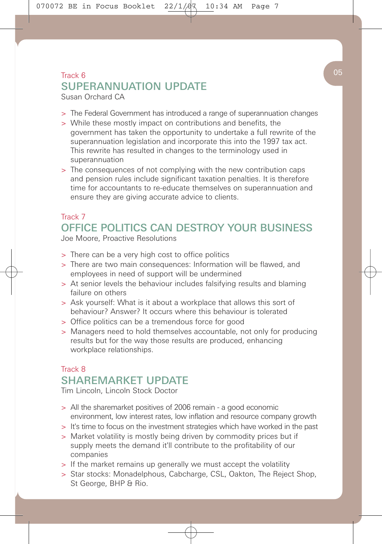#### $\begin{array}{|c|c|c|c|c|}\n\hline\n\text{Track 6} & & 05 \\
\hline\n\end{array}$ SUPERANNUATION UPDATE Susan Orchard CA

- > The Federal Government has introduced a range of superannuation changes
- > While these mostly impact on contributions and benefits, the government has taken the opportunity to undertake a full rewrite of the superannuation legislation and incorporate this into the 1997 tax act. This rewrite has resulted in changes to the terminology used in superannuation
- > The consequences of not complying with the new contribution caps and pension rules include significant taxation penalties. It is therefore time for accountants to re-educate themselves on superannuation and ensure they are giving accurate advice to clients.

# Track 7 OFFICE POLITICS CAN DESTROY YOUR BUSINESS

Joe Moore, Proactive Resolutions

- > There can be a very high cost to office politics
- > There are two main consequences: Information will be flawed, and employees in need of support will be undermined
- > At senior levels the behaviour includes falsifying results and blaming failure on others
- > Ask yourself: What is it about a workplace that allows this sort of behaviour? Answer? It occurs where this behaviour is tolerated
- > Office politics can be a tremendous force for good
- > Managers need to hold themselves accountable, not only for producing results but for the way those results are produced, enhancing workplace relationships.

### Track 8 SHAREMARKET UPDATE

Tim Lincoln, Lincoln Stock Doctor

- > All the sharemarket positives of 2006 remain a good economic environment, low interest rates, low inflation and resource company growth
- > It's time to focus on the investment strategies which have worked in the past
- > Market volatility is mostly being driven by commodity prices but if supply meets the demand it'll contribute to the profitability of our companies
- > If the market remains up generally we must accept the volatility
- > Star stocks: Monadelphous, Cabcharge, CSL, Oakton, The Reject Shop, St George, BHP & Rio.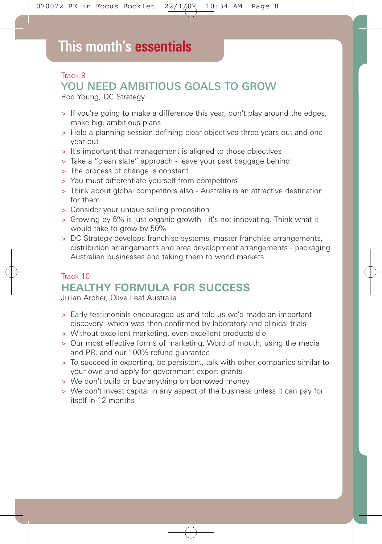# **This month's essentials**

## Track 9 YOU NEED AMBITIOUS GOALS TO GROW

Rod Young, DC Strategy

- > If you're going to make a difference this year, don't play around the edges, make big, ambitious plans
- > Hold a planning session defining clear objectives three years out and one year out
- > It's important that management is aligned to those objectives
- > Take a "clean slate" approach leave your past baggage behind
- > The process of change is constant
- > You must differentiate yourself from competitors
- > Think about global competitors also Australia is an attractive destination for them
- > Consider your unique selling proposition
- > Growing by 5% is just organic growth it's not innovating. Think what it would take to grow by 50%
- > DC Strategy develops franchise systems, master franchise arrangements, distribution arrangements and area development arrangements - packaging Australian businesses and taking them to world markets.

## Track 10 **HEALTHY FORMULA FOR SUCCESS**

Julian Archer, Olive Leaf Australia

- > Early testimonials encouraged us and told us we'd made an important discovery which was then confirmed by laboratory and clinical trials
- > Without excellent marketing, even excellent products die
- > Our most effective forms of marketing: Word of mouth, using the media and PR, and our 100% refund guarantee
- > To succeed in exporting, be persistent, talk with other companies similar to your own and apply for government export grants
- > We don't build or buy anything on borrowed money
- > We don't invest capital in any aspect of the business unless it can pay for itself in 12 months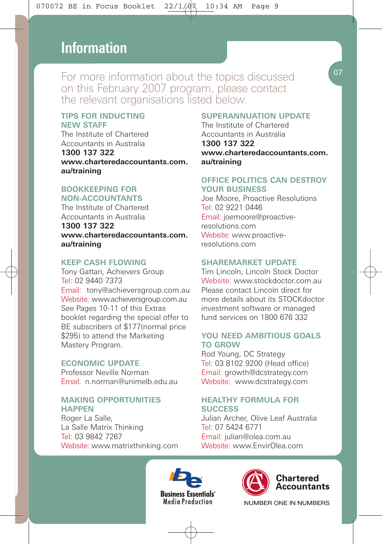# **This month's essentials Information**

For more information about the topics discussed on this February 2007 program, please contact the relevant organisations listed below.

#### **TIPS FOR INDUCTING NEW STAFF**

The Institute of Chartered Accountants in Australia **1300 137 322 www.charteredaccountants.com. au/training**

#### **BOOKKEEPING FOR NON-ACCOUNTANTS**

The Institute of Chartered Accountants in Australia **1300 137 322 www.charteredaccountants.com. au/training**

#### **KEEP CASH FLOWING**

Tony Gattari, Achievers Group Tel: 02 9440 7373 Email: tony@achieversgroup.com.au Website: www.achieversgroup.com.au See Pages 10-11 of this Extras booklet regarding the special offer to BE subscribers of \$177(normal price \$295) to attend the Marketing Mastery Program.

#### **ECONOMIC UPDATE**

Professor Neville Norman Email: n.norman@unimelb.edu.au

#### **MAKING OPPORTUNITIES HAPPEN**

Roger La Salle, La Salle Matrix Thinking Tel: 03 9842 7267 Website: www.matrixthinking.com

#### **SUPERANNUATION UPDATE**

The Institute of Chartered Accountants in Australia **1300 137 322 www.charteredaccountants.com. au/training**

#### **OFFICE POLITICS CAN DESTROY YOUR BUSINESS**

Joe Moore, Proactive Resolutions Tel: 02 9221 0446 Email: joemoore@proactiveresolutions.com Website: www.proactiveresolutions.com

#### **SHAREMARKET UPDATE**

Tim Lincoln, Lincoln Stock Doctor Website: www.stockdoctor.com.au. Please contact Lincoln direct for more details about its STOCKdoctor investment software or managed fund services on 1800 676 332

#### **YOU NEED AMBITIOUS GOALS TO GROW**

Rod Young, DC Strategy Tel: 03 8102 9200 (Head office) Email: growth@dcstrategy.com Website: www.dcstrategy.com

#### **HEALTHY FORMULA FOR SUCCESS**

Julian Archer, Olive Leaf Australia Tel: 07 5424 6771 Email: julian@olea.com.au Website: www.EnvirOlea.com







NUMBER ONE IN NUMBERS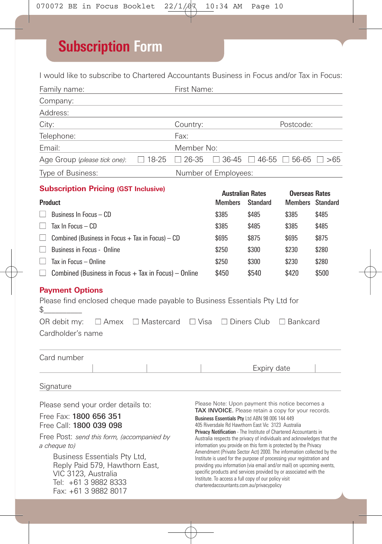# **Subscription Form**

I would like to subscribe to Chartered Accountants Business in Focus and/or Tax in Focus:

| Family name:                                                                                                                                                                                                                                                                                   |                                           | First Name:                                                                                                                                                                                                                                                                                                                                                                                                                                                                                                                                                                                                                                                                                                                                                                                                                            |                                           |                                                   |                 |  |
|------------------------------------------------------------------------------------------------------------------------------------------------------------------------------------------------------------------------------------------------------------------------------------------------|-------------------------------------------|----------------------------------------------------------------------------------------------------------------------------------------------------------------------------------------------------------------------------------------------------------------------------------------------------------------------------------------------------------------------------------------------------------------------------------------------------------------------------------------------------------------------------------------------------------------------------------------------------------------------------------------------------------------------------------------------------------------------------------------------------------------------------------------------------------------------------------------|-------------------------------------------|---------------------------------------------------|-----------------|--|
| Company:                                                                                                                                                                                                                                                                                       |                                           |                                                                                                                                                                                                                                                                                                                                                                                                                                                                                                                                                                                                                                                                                                                                                                                                                                        |                                           |                                                   |                 |  |
| Address:                                                                                                                                                                                                                                                                                       |                                           |                                                                                                                                                                                                                                                                                                                                                                                                                                                                                                                                                                                                                                                                                                                                                                                                                                        |                                           |                                                   |                 |  |
| Country:<br>City:<br>the control of the control of the control of                                                                                                                                                                                                                              |                                           |                                                                                                                                                                                                                                                                                                                                                                                                                                                                                                                                                                                                                                                                                                                                                                                                                                        | Postcode:                                 |                                                   |                 |  |
| Telephone:                                                                                                                                                                                                                                                                                     | Fax:                                      |                                                                                                                                                                                                                                                                                                                                                                                                                                                                                                                                                                                                                                                                                                                                                                                                                                        |                                           |                                                   |                 |  |
| Email:                                                                                                                                                                                                                                                                                         |                                           | Member No:                                                                                                                                                                                                                                                                                                                                                                                                                                                                                                                                                                                                                                                                                                                                                                                                                             |                                           |                                                   |                 |  |
| Age Group (please tick one):                                                                                                                                                                                                                                                                   | $\Box$ 18-25                              | $\Box$ 26-35                                                                                                                                                                                                                                                                                                                                                                                                                                                                                                                                                                                                                                                                                                                                                                                                                           |                                           | $\Box$ 36-45 $\Box$ 46-55 $\Box$ 56-65 $\Box$ >65 |                 |  |
| Type of Business:                                                                                                                                                                                                                                                                              |                                           |                                                                                                                                                                                                                                                                                                                                                                                                                                                                                                                                                                                                                                                                                                                                                                                                                                        | Number of Employees:                      |                                                   |                 |  |
| <b>Subscription Pricing (GST Inclusive)</b>                                                                                                                                                                                                                                                    |                                           |                                                                                                                                                                                                                                                                                                                                                                                                                                                                                                                                                                                                                                                                                                                                                                                                                                        |                                           |                                                   |                 |  |
| <b>Product</b>                                                                                                                                                                                                                                                                                 | <b>Australian Rates</b><br><b>Members</b> | <b>Standard</b>                                                                                                                                                                                                                                                                                                                                                                                                                                                                                                                                                                                                                                                                                                                                                                                                                        | <b>Overseas Rates</b><br>Members Standard |                                                   |                 |  |
| Business In Focus - CD                                                                                                                                                                                                                                                                         | \$385                                     | \$485                                                                                                                                                                                                                                                                                                                                                                                                                                                                                                                                                                                                                                                                                                                                                                                                                                  | \$385                                     | \$485                                             |                 |  |
| Tax In Focus - CD<br>П                                                                                                                                                                                                                                                                         | \$385                                     | \$485                                                                                                                                                                                                                                                                                                                                                                                                                                                                                                                                                                                                                                                                                                                                                                                                                                  | \$385                                     | \$485                                             |                 |  |
| $\Box$<br>Combined (Business in Focus $+$ Tax in Focus) $-$ CD                                                                                                                                                                                                                                 | \$695                                     | \$875                                                                                                                                                                                                                                                                                                                                                                                                                                                                                                                                                                                                                                                                                                                                                                                                                                  | \$695                                     | \$875                                             |                 |  |
| Business in Focus - Online<br>$\Box$                                                                                                                                                                                                                                                           | \$250                                     | \$300                                                                                                                                                                                                                                                                                                                                                                                                                                                                                                                                                                                                                                                                                                                                                                                                                                  | \$230                                     | \$280                                             |                 |  |
| Tax in Focus - Online<br>$\mathsf{L}$                                                                                                                                                                                                                                                          | \$250                                     | \$300                                                                                                                                                                                                                                                                                                                                                                                                                                                                                                                                                                                                                                                                                                                                                                                                                                  | \$230                                     | \$280                                             |                 |  |
| Combined (Business in Focus $+$ Tax in Focus) – Online<br>$\mathsf{L}$                                                                                                                                                                                                                         | \$450                                     | \$540                                                                                                                                                                                                                                                                                                                                                                                                                                                                                                                                                                                                                                                                                                                                                                                                                                  | \$420                                     | \$500                                             |                 |  |
| <b>Payment Options</b><br>Please find enclosed cheque made payable to Business Essentials Pty Ltd for<br>\$<br>$\Box$ Amex $\Box$ Mastercard $\Box$ Visa<br>OR debit my:<br>Cardholder's name                                                                                                  |                                           |                                                                                                                                                                                                                                                                                                                                                                                                                                                                                                                                                                                                                                                                                                                                                                                                                                        |                                           | $\Box$ Diners Club                                | $\Box$ Bankcard |  |
| Card number                                                                                                                                                                                                                                                                                    |                                           |                                                                                                                                                                                                                                                                                                                                                                                                                                                                                                                                                                                                                                                                                                                                                                                                                                        |                                           | Expiry date                                       |                 |  |
| Signature                                                                                                                                                                                                                                                                                      |                                           |                                                                                                                                                                                                                                                                                                                                                                                                                                                                                                                                                                                                                                                                                                                                                                                                                                        |                                           |                                                   |                 |  |
| Please send your order details to:<br>Free Fax: 1800 656 351<br>Free Call: 1800 039 098<br>Free Post: send this form, (accompanied by<br>a cheque to)<br>Business Essentials Pty Ltd,<br>Reply Paid 579, Hawthorn East,<br>VIC 3123, Australia<br>Tel: +61 3 9882 8333<br>Fax: +61 3 9882 8017 |                                           | Please Note: Upon payment this notice becomes a<br>TAX INVOICE. Please retain a copy for your records.<br>Business Essentials Pty Ltd ABN 98 006 144 449<br>405 Riversdale Rd Hawthorn East Vic 3123 Australia<br>Privacy Notification - The Institute of Chartered Accountants in<br>Australia respects the privacy of individuals and acknowledges that the<br>information you provide on this form is protected by the Privacy<br>Amendment (Private Sector Act) 2000. The information collected by the<br>Institute is used for the purpose of processing your registration and<br>providing you information (via email and/or mail) on upcoming events,<br>specific products and services provided by or associated with the<br>Institute. To access a full copy of our policy visit<br>charteredaccountants.com.au/privacypolicy |                                           |                                                   |                 |  |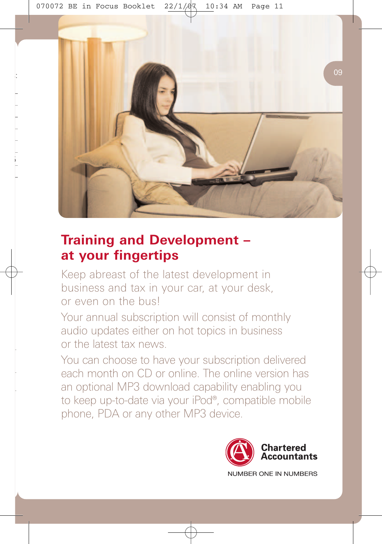

# **Training and Development – at your fingertips**

Keep abreast of the latest development in business and tax in your car, at your desk, or even on the bus!

Your annual subscription will consist of monthly audio updates either on hot topics in business or the latest tax news.

You can choose to have your subscription delivered each month on CD or online. The online version has an optional MP3 download capability enabling you to keep up-to-date via your iPod®, compatible mobile phone, PDA or any other MP3 device.

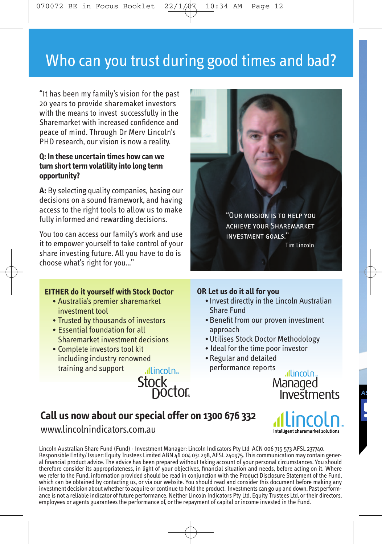# Who can you trust during good times and bad?

"It has been my family's vision for the past 20 years to provide sharemaket investors with the means to invest successfully in the Sharemarket with increased confidence and peace of mind. Through Dr Merv Lincoln's PHD research, our vision is now a reality.

#### **Q: In these uncertain times how can we turn short term volatility into long term opportunity?**

**A:** By selecting quality companies, basing our decisions on a sound framework, and having access to the right tools to allow us to make fully informed and rewarding decisions.

You too can access our family's work and use it to empower yourself to take control of your share investing future. All you have to do is choose what's right for you..."

#### **EITHER do it yourself with Stock Doctor**

- Australia's premier sharemarket investment tool
- Trusted by thousands of investors
- Essential foundation for all Sharemarket investment decisions
- Complete investors tool kit including industry renowned training and support

allincoln<sub>e</sub> Stock<br>Doctor



#### **OR Let us do it all for you**

- Invest directly in the Lincoln Australian Share Fund
- Benefit from our proven investment approach
- Utilises Stock Doctor Methodology
- Ideal for the time poor investor
- Regular and detailed performance reports

allincoln<sub>»</sub> Managed<br>Investments

Intelligent sharemarket solutions

# **Call us now about our special offer on 1300 676 332**

www.lincolnindicators.com.au

Lincoln Australian Share Fund (Fund) - Investment Manager: Lincoln Indicators Pty Ltd ACN 006 715 573 AFSL 237740. Responsible Entity/ Issuer: Equity Trustees Limited ABN 46 004 031 298, AFSL 240975. This communication may contain general financial product advice. The advice has been prepared without taking account of your personal circumstances. You should<br>therefore consider its appropriateness, in light of your objectives, financial situation and needs we refer to the Fund, information provided should be read in conjunction with the Product Disclosure Statement of the Fund, which can be obtained by contacting us, or via our website. You should read and consider this document before making any investment decision about whether to acquire or continue to hold the product. Investments can go up and down. Past performance is not a reliable indicator of future performance. Neither Lincoln Indicators Pty Ltd, Equity Trustees Ltd, or their directors, employees or agents guarantees the performance of, or the repayment of capital or income invested in the Fund.